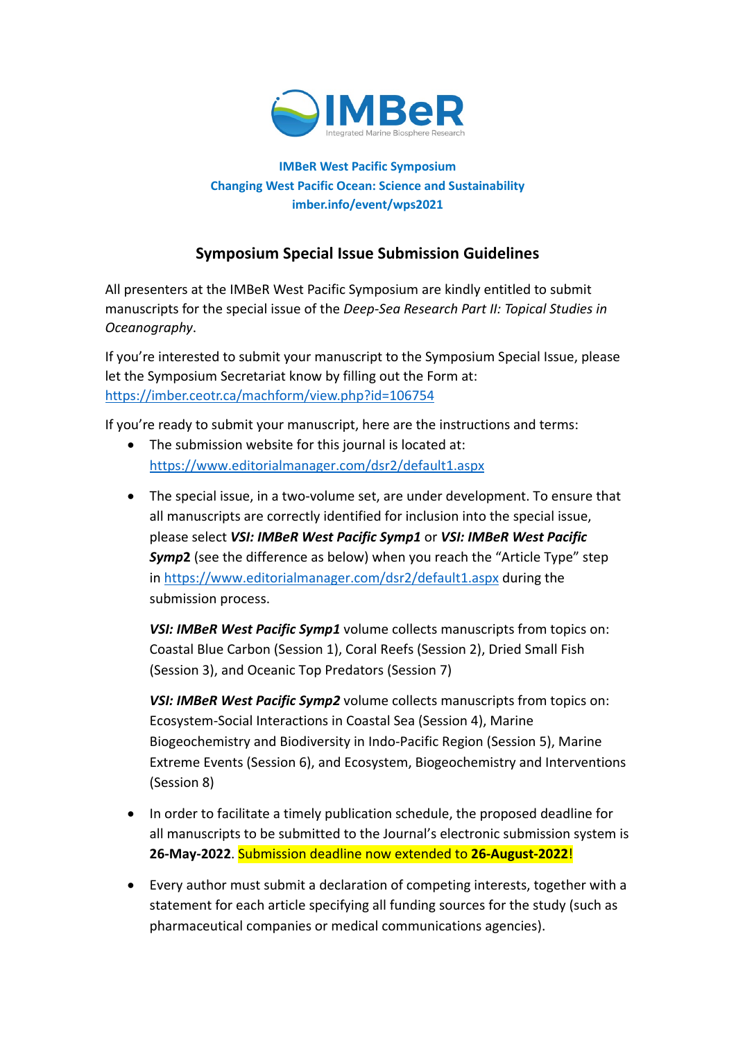

### **IMBeR West Pacific Symposium Changing West Pacific Ocean: Science and Sustainability imber.info/event/wps2021**

# **Symposium Special Issue Submission Guidelines**

All presenters at the IMBeR West Pacific Symposium are kindly entitled to submit manuscripts for the special issue of the *Deep-Sea Research Part II: Topical Studies in Oceanography*.

If you're interested to submit your manuscript to the Symposium Special Issue, please let the Symposium Secretariat know by filling out the Form at: <https://imber.ceotr.ca/machform/view.php?id=106754>

If you're ready to submit your manuscript, here are the instructions and terms:

- The submission website for this journal is located at: <https://www.editorialmanager.com/dsr2/default1.aspx>
- The special issue, in a two-volume set, are under development. To ensure that all manuscripts are correctly identified for inclusion into the special issue, please select *VSI: IMBeR West Pacific Symp1* or *VSI: IMBeR West Pacific Symp***2** (see the difference as below) when you reach the "Article Type" step in <https://www.editorialmanager.com/dsr2/default1.aspx> during the submission process.

*VSI: IMBeR West Pacific Symp1* volume collects manuscripts from topics on: Coastal Blue Carbon (Session 1), Coral Reefs (Session 2), Dried Small Fish (Session 3), and Oceanic Top Predators (Session 7)

*VSI: IMBeR West Pacific Symp2* volume collects manuscripts from topics on: Ecosystem-Social Interactions in Coastal Sea (Session 4), Marine Biogeochemistry and Biodiversity in Indo-Pacific Region (Session 5), Marine Extreme Events (Session 6), and Ecosystem, Biogeochemistry and Interventions (Session 8)

- In order to facilitate a timely publication schedule, the proposed deadline for all manuscripts to be submitted to the Journal's electronic submission system is **26-May-2022**. Submission deadline now extended to **26-August-2022**!
- Every author must submit a declaration of competing interests, together with a statement for each article specifying all funding sources for the study (such as pharmaceutical companies or medical communications agencies).